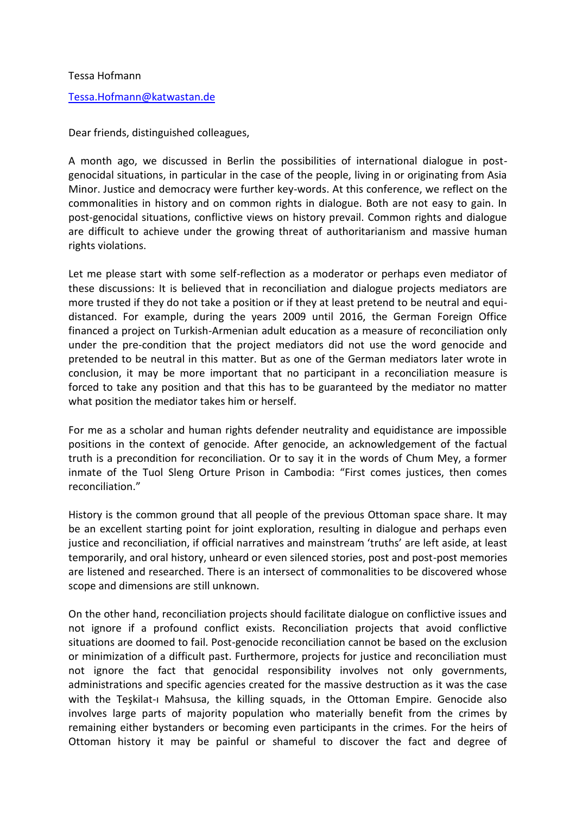## Tessa Hofmann

## [Tessa.Hofmann@katwastan.de](mailto:Tessa.Hofmann@katwastan.de)

Dear friends, distinguished colleagues,

A month ago, we discussed in Berlin the possibilities of international dialogue in postgenocidal situations, in particular in the case of the people, living in or originating from Asia Minor. Justice and democracy were further key-words. At this conference, we reflect on the commonalities in history and on common rights in dialogue. Both are not easy to gain. In post-genocidal situations, conflictive views on history prevail. Common rights and dialogue are difficult to achieve under the growing threat of authoritarianism and massive human rights violations.

Let me please start with some self-reflection as a moderator or perhaps even mediator of these discussions: It is believed that in reconciliation and dialogue projects mediators are more trusted if they do not take a position or if they at least pretend to be neutral and equidistanced. For example, during the years 2009 until 2016, the German Foreign Office financed a project on Turkish-Armenian adult education as a measure of reconciliation only under the pre-condition that the project mediators did not use the word genocide and pretended to be neutral in this matter. But as one of the German mediators later wrote in conclusion, it may be more important that no participant in a reconciliation measure is forced to take any position and that this has to be guaranteed by the mediator no matter what position the mediator takes him or herself.

For me as a scholar and human rights defender neutrality and equidistance are impossible positions in the context of genocide. After genocide, an acknowledgement of the factual truth is a precondition for reconciliation. Or to say it in the words of Chum Mey, a former inmate of the Tuol Sleng Orture Prison in Cambodia: "First comes justices, then comes reconciliation."

History is the common ground that all people of the previous Ottoman space share. It may be an excellent starting point for joint exploration, resulting in dialogue and perhaps even justice and reconciliation, if official narratives and mainstream 'truths' are left aside, at least temporarily, and oral history, unheard or even silenced stories, post and post-post memories are listened and researched. There is an intersect of commonalities to be discovered whose scope and dimensions are still unknown.

On the other hand, reconciliation projects should facilitate dialogue on conflictive issues and not ignore if a profound conflict exists. Reconciliation projects that avoid conflictive situations are doomed to fail. Post-genocide reconciliation cannot be based on the exclusion or minimization of a difficult past. Furthermore, projects for justice and reconciliation must not ignore the fact that genocidal responsibility involves not only governments, administrations and specific agencies created for the massive destruction as it was the case with the Teşkilat-ı Mahsusa, the killing squads, in the Ottoman Empire. Genocide also involves large parts of majority population who materially benefit from the crimes by remaining either bystanders or becoming even participants in the crimes. For the heirs of Ottoman history it may be painful or shameful to discover the fact and degree of